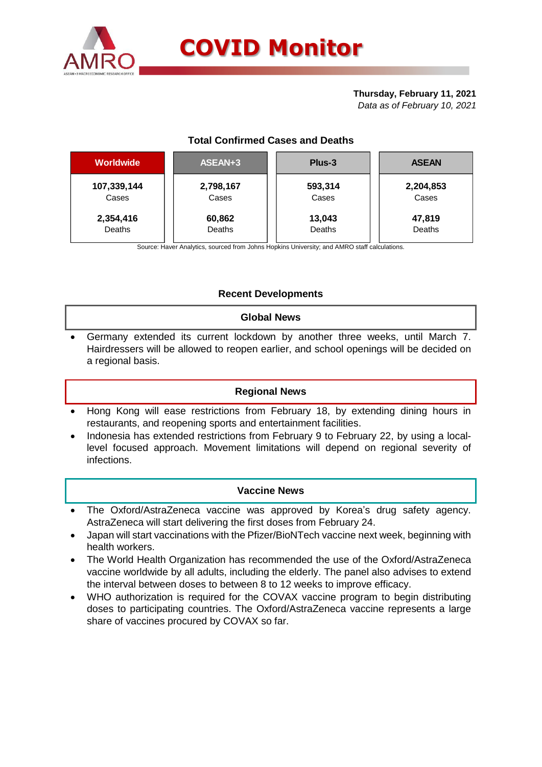

## **Thursday, February 11, 2021**

*Data as of February 10, 2021*

# **Total Confirmed Cases and Deaths**

| <b>Worldwide</b> | ASEAN+3   | Plus-3  | <b>ASEAN</b> |  |  |
|------------------|-----------|---------|--------------|--|--|
| 107,339,144      | 2,798,167 | 593,314 | 2,204,853    |  |  |
| Cases            | Cases     | Cases   | Cases        |  |  |
| 2,354,416        | 60,862    | 13,043  | 47,819       |  |  |
| Deaths           | Deaths    | Deaths  | Deaths       |  |  |

Source: Haver Analytics, sourced from Johns Hopkins University; and AMRO staff calculations.

# **Recent Developments**

## **Global News**

 Germany extended its current lockdown by another three weeks, until March 7. Hairdressers will be allowed to reopen earlier, and school openings will be decided on a regional basis.

# **Regional News**

- Hong Kong will ease restrictions from February 18, by extending dining hours in restaurants, and reopening sports and entertainment facilities.
- Indonesia has extended restrictions from February 9 to February 22, by using a locallevel focused approach. Movement limitations will depend on regional severity of infections.

## **Vaccine News**

- The Oxford/AstraZeneca vaccine was approved by Korea's drug safety agency. AstraZeneca will start delivering the first doses from February 24.
- Japan will start vaccinations with the Pfizer/BioNTech vaccine next week, beginning with health workers.
- The World Health Organization has recommended the use of the Oxford/AstraZeneca vaccine worldwide by all adults, including the elderly. The panel also advises to extend the interval between doses to between 8 to 12 weeks to improve efficacy.
- WHO authorization is required for the COVAX vaccine program to begin distributing doses to participating countries. The Oxford/AstraZeneca vaccine represents a large share of vaccines procured by COVAX so far.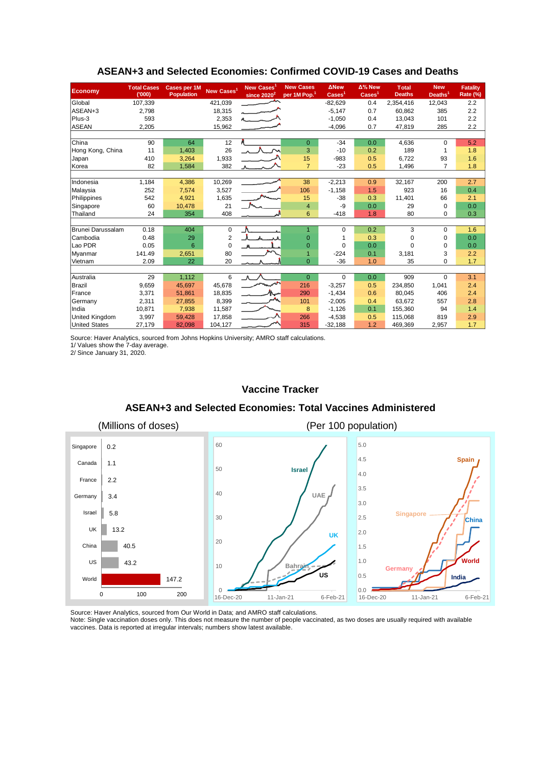| <b>Economy</b>       | <b>Total Cases</b><br>(000) | <b>Cases per 1M</b><br><b>Population</b> | New Cases <sup>1</sup> | New Cases<br>since $2020^2$ | <b>New Cases</b><br>per 1M Pop. <sup>1</sup> | <b>ANew</b><br>$\text{Case}$ <sup>1</sup> | Δ% New<br>$\overline{\text{Cases}}^1$ | <b>T</b> otal<br><b>Deaths</b> | <b>New</b><br>Deaths <sup>1</sup> | <b>Fatality</b><br>Rate (%) |
|----------------------|-----------------------------|------------------------------------------|------------------------|-----------------------------|----------------------------------------------|-------------------------------------------|---------------------------------------|--------------------------------|-----------------------------------|-----------------------------|
| Global               | 107,339                     |                                          | 421,039                |                             |                                              | $-82,629$                                 | 0.4                                   | 2,354,416                      | 12,043                            | 2.2                         |
| ASEAN+3              | 2,798                       |                                          | 18,315                 |                             |                                              | $-5,147$                                  | 0.7                                   | 60,862                         | 385                               | 2.2                         |
| Plus-3               | 593                         |                                          | 2,353                  |                             |                                              | $-1.050$                                  | 0.4                                   | 13.043                         | 101                               | 2.2                         |
| <b>ASEAN</b>         | 2,205                       |                                          | 15,962                 |                             |                                              | $-4,096$                                  | 0.7                                   | 47,819                         | 285                               | 2.2                         |
|                      |                             |                                          |                        |                             |                                              |                                           |                                       |                                |                                   |                             |
| China                | 90                          | 64                                       | 12                     |                             | $\mathbf{0}$                                 | $-34$                                     | 0.0                                   | 4.636                          | $\Omega$                          | 5.2                         |
| Hong Kong, China     | 11                          | 1,403                                    | 26                     |                             | 3                                            | $-10$                                     | 0.2                                   | 189                            | 1                                 | 1.8                         |
| Japan                | 410                         | 3,264                                    | 1,933                  |                             | 15                                           | $-983$                                    | 0.5                                   | 6.722                          | 93                                | 1.6                         |
| Korea                | 82                          | 1,584                                    | 382                    |                             | $\overline{7}$                               | $-23$                                     | 0.5                                   | 1,496                          | $\overline{7}$                    | 1.8                         |
|                      |                             |                                          |                        |                             |                                              |                                           |                                       |                                |                                   |                             |
| Indonesia            | 1,184                       | 4,386                                    | 10,269                 |                             | 38                                           | $-2,213$                                  | 0.9                                   | 32,167                         | 200                               | 2.7                         |
| Malaysia             | 252                         | 7,574                                    | 3,527                  |                             | 106                                          | $-1,158$                                  | 1.5                                   | 923                            | 16                                | 0.4                         |
| Philippines          | 542                         | 4,921                                    | 1,635                  |                             | 15                                           | $-38$                                     | 0.3                                   | 11,401                         | 66                                | 2.1                         |
| Singapore            | 60                          | 10,478                                   | 21                     |                             | $\overline{4}$                               | -9                                        | 0.0                                   | 29                             | $\Omega$                          | 0.0                         |
| Thailand             | 24                          | 354                                      | 408                    |                             | 6                                            | $-418$                                    | 1.8                                   | 80                             | $\Omega$                          | 0.3                         |
|                      |                             |                                          |                        |                             |                                              |                                           |                                       |                                |                                   |                             |
| Brunei Darussalam    | 0.18                        | 404                                      | 0                      |                             |                                              | 0                                         | 0.2                                   | 3                              | 0                                 | 1.6                         |
| Cambodia             | 0.48                        | 29                                       | $\overline{2}$         |                             | $\Omega$                                     | 1                                         | 0.3                                   | $\Omega$                       | 0                                 | 0.0                         |
| Lao PDR              | 0.05                        | 6                                        | $\Omega$               |                             | $\Omega$                                     | $\Omega$                                  | 0.0                                   | $\Omega$                       | $\Omega$                          | 0.0                         |
| Myanmar              | 141.49                      | 2,651                                    | 80                     |                             |                                              | $-224$                                    | 0.1                                   | 3,181                          | 3                                 | 2.2                         |
| Vietnam              | 2.09                        | 22                                       | 20                     |                             | $\Omega$                                     | $-36$                                     | 1.0                                   | 35                             | 0                                 | 1.7                         |
|                      |                             |                                          |                        |                             |                                              |                                           |                                       |                                |                                   |                             |
| Australia            | 29                          | 1,112                                    | 6                      | $\Lambda$                   | $\overline{0}$                               | $\Omega$                                  | 0.0                                   | 909                            | $\Omega$                          | 3.1                         |
| Brazil               | 9,659                       | 45,697                                   | 45,678                 |                             | 216                                          | $-3,257$                                  | 0.5                                   | 234,850                        | 1,041                             | 2.4                         |
| France               | 3,371                       | 51,861                                   | 18,835                 |                             | 290                                          | $-1,434$                                  | 0.6                                   | 80.045                         | 406                               | 2.4                         |
| Germany              | 2,311                       | 27,855                                   | 8,399                  |                             | 101                                          | $-2,005$                                  | 0.4                                   | 63,672                         | 557                               | 2.8                         |
| India                | 10,871                      | 7,938                                    | 11,587                 |                             | 8                                            | $-1,126$                                  | 0.1                                   | 155,360                        | 94                                | 1.4                         |
| United Kingdom       | 3,997                       | 59,428                                   | 17,858                 |                             | 266                                          | $-4,538$                                  | 0.5                                   | 115,068                        | 819                               | 2.9                         |
| <b>United States</b> | 27,179                      | 82,098                                   | 104,127                |                             | 315                                          | $-32,188$                                 | 1.2                                   | 469.369                        | 2,957                             | 1.7                         |

## **ASEAN+3 and Selected Economies: Confirmed COVID-19 Cases and Deaths**

Source: Haver Analytics, sourced from Johns Hopkins University; AMRO staff calculations.

1/ Values show the 7-day average.

2/ Since January 31, 2020.

#### **Vaccine Tracker**

#### **ASEAN+3 and Selected Economies: Total Vaccines Administered**



Source: Haver Analytics, sourced from Our World in Data; and AMRO staff calculations.

Note: Single vaccination doses only. This does not measure the number of people vaccinated, as two doses are usually required with available vaccines. Data is reported at irregular intervals; numbers show latest available.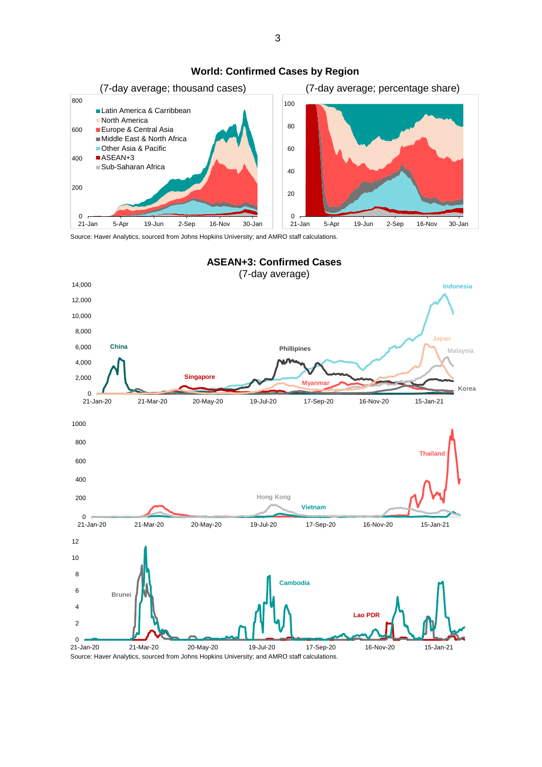

#### **World: Confirmed Cases by Region**

Source: Haver Analytics, sourced from Johns Hopkins University; and AMRO staff calculations.



Source: Haver Analytics, sourced from Johns Hopkins University; and AMRO staff calculations.